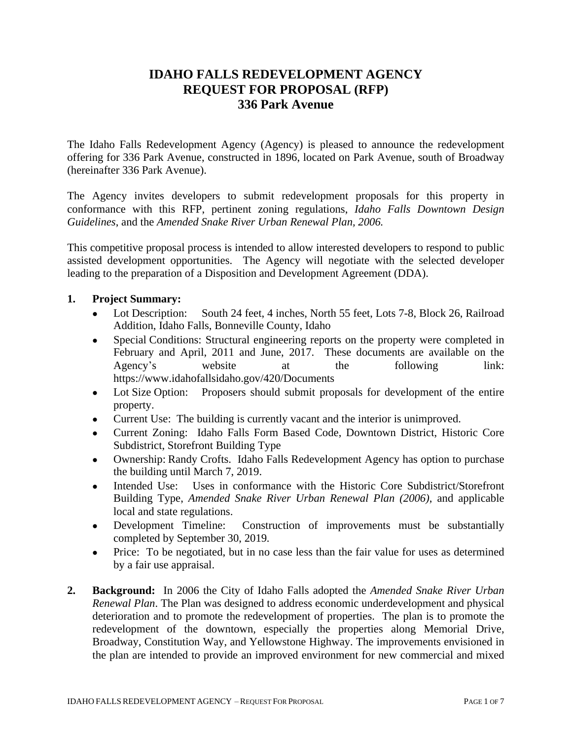# **IDAHO FALLS REDEVELOPMENT AGENCY REQUEST FOR PROPOSAL (RFP) 336 Park Avenue**

The Idaho Falls Redevelopment Agency (Agency) is pleased to announce the redevelopment offering for 336 Park Avenue, constructed in 1896, located on Park Avenue, south of Broadway (hereinafter 336 Park Avenue).

The Agency invites developers to submit redevelopment proposals for this property in conformance with this RFP, pertinent zoning regulations, *Idaho Falls Downtown Design Guidelines*, and the *Amended Snake River Urban Renewal Plan, 2006.*

This competitive proposal process is intended to allow interested developers to respond to public assisted development opportunities. The Agency will negotiate with the selected developer leading to the preparation of a Disposition and Development Agreement (DDA).

## **1. Project Summary:**

- Lot Description: South 24 feet, 4 inches, North 55 feet, Lots 7-8, Block 26, Railroad Addition, Idaho Falls, Bonneville County, Idaho
- Special Conditions: Structural engineering reports on the property were completed in February and April, 2011 and June, 2017. These documents are available on the Agency's website at the following link: https://www.idahofallsidaho.gov/420/Documents
- Lot Size Option: Proposers should submit proposals for development of the entire property.
- Current Use: The building is currently vacant and the interior is unimproved.
- Current Zoning: Idaho Falls Form Based Code, Downtown District, Historic Core Subdistrict, Storefront Building Type
- Ownership: Randy Crofts. Idaho Falls Redevelopment Agency has option to purchase the building until March 7, 2019.
- Intended Use: Uses in conformance with the Historic Core Subdistrict/Storefront Building Type, *Amended Snake River Urban Renewal Plan (2006)*, and applicable local and state regulations.
- Development Timeline: Construction of improvements must be substantially completed by September 30, 2019*.*
- Price: To be negotiated, but in no case less than the fair value for uses as determined by a fair use appraisal.
- **2. Background:** In 2006 the City of Idaho Falls adopted the *Amended Snake River Urban Renewal Plan*. The Plan was designed to address economic underdevelopment and physical deterioration and to promote the redevelopment of properties. The plan is to promote the redevelopment of the downtown, especially the properties along Memorial Drive, Broadway, Constitution Way, and Yellowstone Highway. The improvements envisioned in the plan are intended to provide an improved environment for new commercial and mixed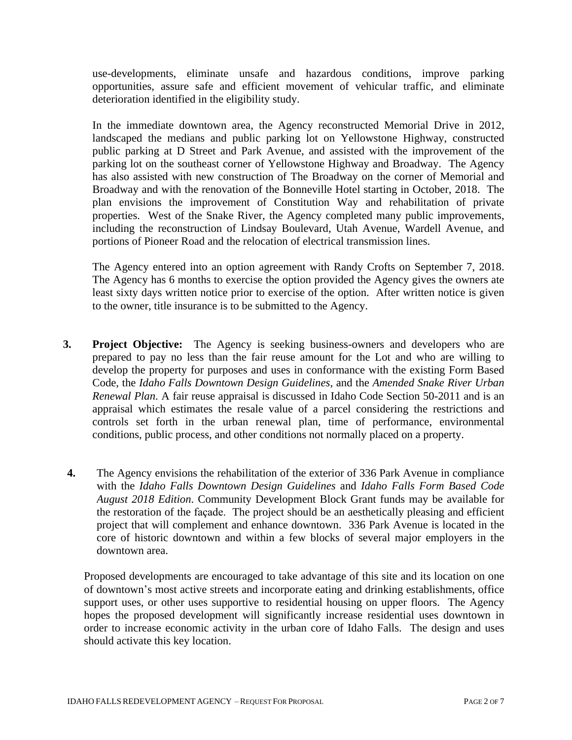use-developments, eliminate unsafe and hazardous conditions, improve parking opportunities, assure safe and efficient movement of vehicular traffic, and eliminate deterioration identified in the eligibility study.

In the immediate downtown area, the Agency reconstructed Memorial Drive in 2012, landscaped the medians and public parking lot on Yellowstone Highway, constructed public parking at D Street and Park Avenue, and assisted with the improvement of the parking lot on the southeast corner of Yellowstone Highway and Broadway. The Agency has also assisted with new construction of The Broadway on the corner of Memorial and Broadway and with the renovation of the Bonneville Hotel starting in October, 2018. The plan envisions the improvement of Constitution Way and rehabilitation of private properties. West of the Snake River, the Agency completed many public improvements, including the reconstruction of Lindsay Boulevard, Utah Avenue, Wardell Avenue, and portions of Pioneer Road and the relocation of electrical transmission lines.

The Agency entered into an option agreement with Randy Crofts on September 7, 2018. The Agency has 6 months to exercise the option provided the Agency gives the owners ate least sixty days written notice prior to exercise of the option. After written notice is given to the owner, title insurance is to be submitted to the Agency.

- **3. Project Objective:** The Agency is seeking business-owners and developers who are prepared to pay no less than the fair reuse amount for the Lot and who are willing to develop the property for purposes and uses in conformance with the existing Form Based Code, the *Idaho Falls Downtown Design Guidelines*, and the *Amended Snake River Urban Renewal Plan*. A fair reuse appraisal is discussed in Idaho Code Section 50-2011 and is an appraisal which estimates the resale value of a parcel considering the restrictions and controls set forth in the urban renewal plan, time of performance, environmental conditions, public process, and other conditions not normally placed on a property.
- **4.** The Agency envisions the rehabilitation of the exterior of 336 Park Avenue in compliance with the *Idaho Falls Downtown Design Guidelines* and *Idaho Falls Form Based Code August 2018 Edition*. Community Development Block Grant funds may be available for the restoration of the façade. The project should be an aesthetically pleasing and efficient project that will complement and enhance downtown. 336 Park Avenue is located in the core of historic downtown and within a few blocks of several major employers in the downtown area.

Proposed developments are encouraged to take advantage of this site and its location on one of downtown's most active streets and incorporate eating and drinking establishments, office support uses, or other uses supportive to residential housing on upper floors. The Agency hopes the proposed development will significantly increase residential uses downtown in order to increase economic activity in the urban core of Idaho Falls. The design and uses should activate this key location.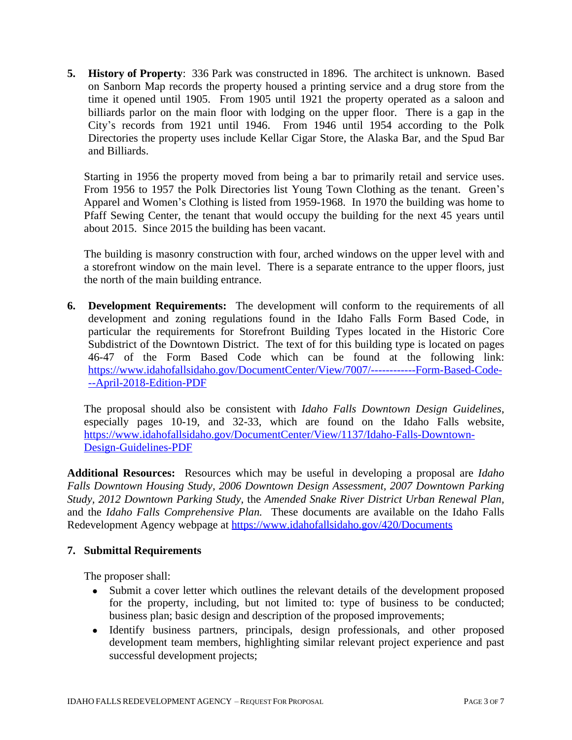**5. History of Property**: 336 Park was constructed in 1896. The architect is unknown. Based on Sanborn Map records the property housed a printing service and a drug store from the time it opened until 1905. From 1905 until 1921 the property operated as a saloon and billiards parlor on the main floor with lodging on the upper floor. There is a gap in the City's records from 1921 until 1946. From 1946 until 1954 according to the Polk Directories the property uses include Kellar Cigar Store, the Alaska Bar, and the Spud Bar and Billiards.

Starting in 1956 the property moved from being a bar to primarily retail and service uses. From 1956 to 1957 the Polk Directories list Young Town Clothing as the tenant. Green's Apparel and Women's Clothing is listed from 1959-1968. In 1970 the building was home to Pfaff Sewing Center, the tenant that would occupy the building for the next 45 years until about 2015. Since 2015 the building has been vacant.

The building is masonry construction with four, arched windows on the upper level with and a storefront window on the main level. There is a separate entrance to the upper floors, just the north of the main building entrance.

**6. Development Requirements:** The development will conform to the requirements of all development and zoning regulations found in the Idaho Falls Form Based Code, in particular the requirements for Storefront Building Types located in the Historic Core Subdistrict of the Downtown District. The text of for this building type is located on pages 46-47 of the Form Based Code which can be found at the following link: [https://www.idahofallsidaho.gov/DocumentCenter/View/7007/------------Form-Based-Code-](https://www.idahofallsidaho.gov/DocumentCenter/View/7007/------------Form-Based-Code---April-2018-Edition-PDF) --April-2018-Edition-PDF

The proposal should also be consistent with *Idaho Falls Downtown Design Guidelines*, especially pages 10-19, and 32-33, which are found on the Idaho Falls website, [https://www.idahofallsidaho.gov/DocumentCenter/View/1137/Idaho-Falls-Downtown-](https://www.idahofallsidaho.gov/DocumentCenter/View/1137/Idaho-Falls-Downtown-Design-Guidelines-PDF)Design-Guidelines-PDF

**Additional Resources:** Resources which may be useful in developing a proposal are *Idaho Falls Downtown Housing Study, 2006 Downtown Design Assessment, 2007 Downtown Parking Study, 2012 Downtown Parking Study,* the *Amended Snake River District Urban Renewal Plan,* and the *Idaho Falls Comprehensive Plan.* These documents are available on the Idaho Falls Redevelopment Agency webpage at <https://www.idahofallsidaho.gov/420/Documents>

## **7. Submittal Requirements**

The proposer shall:

- Submit a cover letter which outlines the relevant details of the development proposed for the property, including, but not limited to: type of business to be conducted; business plan; basic design and description of the proposed improvements;
- Identify business partners, principals, design professionals, and other proposed development team members, highlighting similar relevant project experience and past successful development projects;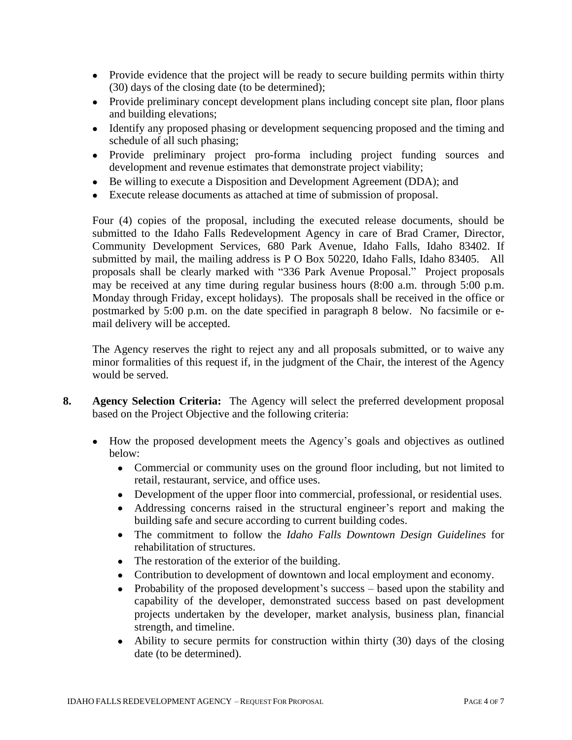- Provide evidence that the project will be ready to secure building permits within thirty (30) days of the closing date (to be determined);
- Provide preliminary concept development plans including concept site plan, floor plans and building elevations;
- Identify any proposed phasing or development sequencing proposed and the timing and schedule of all such phasing;
- Provide preliminary project pro-forma including project funding sources and development and revenue estimates that demonstrate project viability;
- Be willing to execute a Disposition and Development Agreement (DDA); and
- Execute release documents as attached at time of submission of proposal.

Four (4) copies of the proposal, including the executed release documents, should be submitted to the Idaho Falls Redevelopment Agency in care of Brad Cramer, Director, Community Development Services, 680 Park Avenue, Idaho Falls, Idaho 83402. If submitted by mail, the mailing address is P O Box 50220, Idaho Falls, Idaho 83405. All proposals shall be clearly marked with "336 Park Avenue Proposal." Project proposals may be received at any time during regular business hours (8:00 a.m. through 5:00 p.m. Monday through Friday, except holidays). The proposals shall be received in the office or postmarked by 5:00 p.m. on the date specified in paragraph 8 below. No facsimile or email delivery will be accepted.

The Agency reserves the right to reject any and all proposals submitted, or to waive any minor formalities of this request if, in the judgment of the Chair, the interest of the Agency would be served.

- **8. Agency Selection Criteria:** The Agency will select the preferred development proposal based on the Project Objective and the following criteria:
	- How the proposed development meets the Agency's goals and objectives as outlined below:
		- Commercial or community uses on the ground floor including, but not limited to retail, restaurant, service, and office uses.
		- Development of the upper floor into commercial, professional, or residential uses.
		- Addressing concerns raised in the structural engineer's report and making the building safe and secure according to current building codes.
		- The commitment to follow the *Idaho Falls Downtown Design Guidelines* for rehabilitation of structures.
		- The restoration of the exterior of the building.
		- Contribution to development of downtown and local employment and economy.
		- Probability of the proposed development's success based upon the stability and capability of the developer, demonstrated success based on past development projects undertaken by the developer, market analysis, business plan, financial strength, and timeline.
		- Ability to secure permits for construction within thirty (30) days of the closing date (to be determined).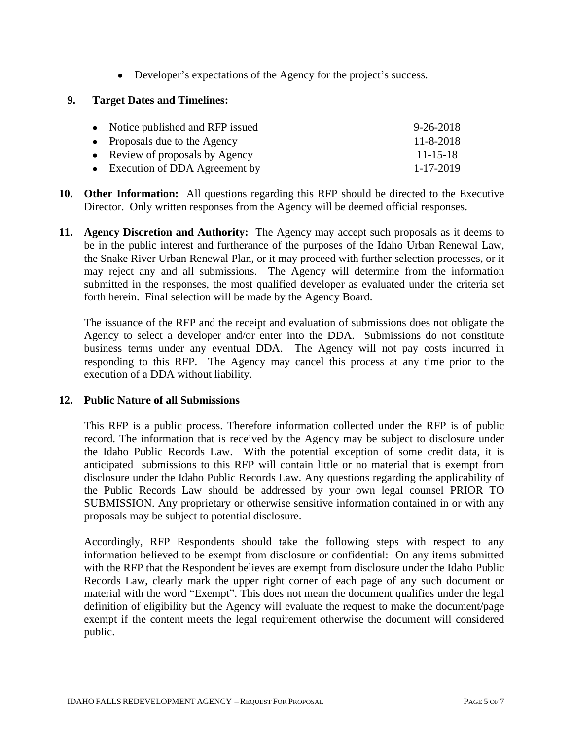• Developer's expectations of the Agency for the project's success.

### **9. Target Dates and Timelines:**

| • Notice published and RFP issued | $9 - 26 - 2018$ |
|-----------------------------------|-----------------|
| • Proposals due to the Agency     | 11-8-2018       |
| • Review of proposals by Agency   | $11 - 15 - 18$  |
| • Execution of DDA Agreement by   | 1-17-2019       |

- **10. Other Information:** All questions regarding this RFP should be directed to the Executive Director. Only written responses from the Agency will be deemed official responses.
- **11. Agency Discretion and Authority:** The Agency may accept such proposals as it deems to be in the public interest and furtherance of the purposes of the Idaho Urban Renewal Law, the Snake River Urban Renewal Plan, or it may proceed with further selection processes, or it may reject any and all submissions. The Agency will determine from the information submitted in the responses, the most qualified developer as evaluated under the criteria set forth herein. Final selection will be made by the Agency Board.

The issuance of the RFP and the receipt and evaluation of submissions does not obligate the Agency to select a developer and/or enter into the DDA. Submissions do not constitute business terms under any eventual DDA. The Agency will not pay costs incurred in responding to this RFP. The Agency may cancel this process at any time prior to the execution of a DDA without liability.

#### **12. Public Nature of all Submissions**

This RFP is a public process. Therefore information collected under the RFP is of public record. The information that is received by the Agency may be subject to disclosure under the Idaho Public Records Law. With the potential exception of some credit data, it is anticipated submissions to this RFP will contain little or no material that is exempt from disclosure under the Idaho Public Records Law. Any questions regarding the applicability of the Public Records Law should be addressed by your own legal counsel PRIOR TO SUBMISSION. Any proprietary or otherwise sensitive information contained in or with any proposals may be subject to potential disclosure.

Accordingly, RFP Respondents should take the following steps with respect to any information believed to be exempt from disclosure or confidential: On any items submitted with the RFP that the Respondent believes are exempt from disclosure under the Idaho Public Records Law, clearly mark the upper right corner of each page of any such document or material with the word "Exempt". This does not mean the document qualifies under the legal definition of eligibility but the Agency will evaluate the request to make the document/page exempt if the content meets the legal requirement otherwise the document will considered public.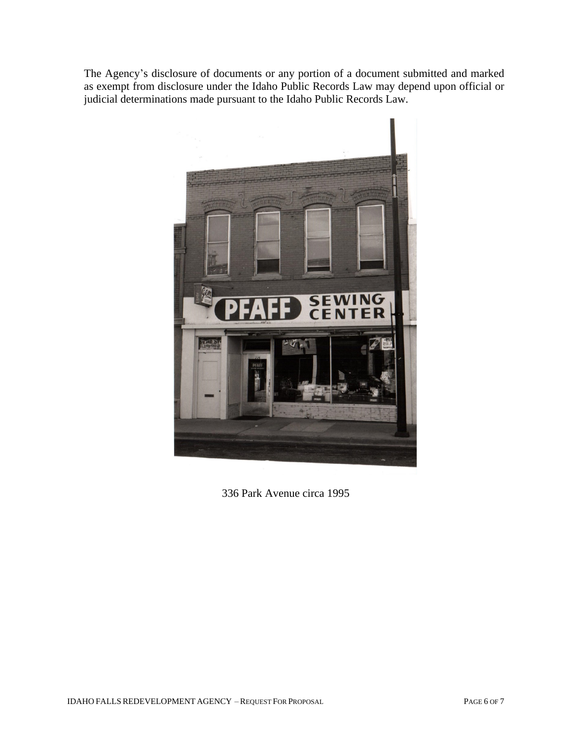The Agency's disclosure of documents or any portion of a document submitted and marked as exempt from disclosure under the Idaho Public Records Law may depend upon official or judicial determinations made pursuant to the Idaho Public Records Law.



336 Park Avenue circa 1995